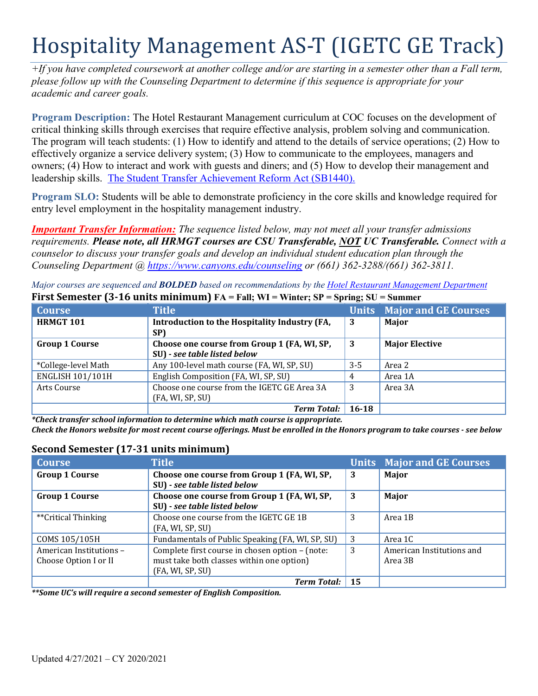# Hospitality Management AS-T (IGETC GE Track)

*+If you have completed coursework at another college and/or are starting in a semester other than a Fall term, please follow up with the Counseling Department to determine if this sequence is appropriate for your academic and career goals.* 

 effectively organize a service delivery system; (3) How to communicate to the employees, managers and leadership skills. The Student Transfer Achievement Reform Act (SB1440). **Program Description:** The Hotel Restaurant Management curriculum at COC focuses on the development of critical thinking skills through exercises that require effective analysis, problem solving and communication. The program will teach students: (1) How to identify and attend to the details of service operations; (2) How to owners; (4) How to interact and work with guests and diners; and (5) How to develop their management and

**Program SLO:** Students will be able to demonstrate proficiency in the core skills and knowledge required for entry level employment in the hospitality management industry.

*Important Transfer Information: The sequence listed below, may not meet all your transfer admissions requirements. Please note, all HRMGT courses are CSU Transferable, NOT UC Transferable. Connect with a counselor to discuss your transfer goals and develop an individual student education plan through the Counseling Department @<https://www.canyons.edu/counseling> or (661) 362-3288/(661) 362-3811.* 

*Major courses are sequenced and BOLDED based on recommendations by the Hotel Restaurant Management Department* 

| <b>Course</b>           | <b>Title</b>                                         |           | <b>Units Major and GE Courses</b> |
|-------------------------|------------------------------------------------------|-----------|-----------------------------------|
| <b>HRMGT 101</b>        | Introduction to the Hospitality Industry (FA,<br>SP) | 3         | Major                             |
| <b>Group 1 Course</b>   | Choose one course from Group 1 (FA, WI, SP,          | 3         | <b>Major Elective</b>             |
|                         | SU) - see table listed below                         |           |                                   |
| *College-level Math     | Any 100-level math course (FA, WI, SP, SU)           | $3 - 5$   | Area 2                            |
| <b>ENGLISH 101/101H</b> | English Composition (FA, WI, SP, SU)                 | 4         | Area 1A                           |
| Arts Course             | Choose one course from the IGETC GE Area 3A          | 3         | Area 3A                           |
|                         | (FA, WI, SP, SU)                                     |           |                                   |
|                         | Term Total:                                          | $16 - 18$ |                                   |

 **First Semester (3-16 units minimum) FA = Fall; WI = Winter; SP = Spring; SU = Summer** 

 *Check the Honors website for most recent course offerings. Must be enrolled in the Honors program to take courses - see below \*Check transfer school information to determine which math course is appropriate.* 

## **Second Semester (17-31 units minimum)**

| <b>Course</b>           | <b>Title</b>                                     |    | <b>Units Major and GE Courses</b> |
|-------------------------|--------------------------------------------------|----|-----------------------------------|
| <b>Group 1 Course</b>   | Choose one course from Group 1 (FA, WI, SP,      | 3  | Major                             |
|                         | SU) - see table listed below                     |    |                                   |
| <b>Group 1 Course</b>   | Choose one course from Group 1 (FA, WI, SP,      | 3  | Major                             |
|                         | SU) - see table listed below                     |    |                                   |
| **Critical Thinking     | Choose one course from the IGETC GE 1B           | 3  | Area 1B                           |
|                         | (FA, WI, SP, SU)                                 |    |                                   |
| COMS 105/105H           | Fundamentals of Public Speaking (FA, WI, SP, SU) | 3  | Area 1C                           |
| American Institutions - | Complete first course in chosen option - (note:  | 3  | American Institutions and         |
| Choose Option I or II   | must take both classes within one option)        |    | Area 3B                           |
|                         | (FA, WI, SP, SU)                                 |    |                                   |
|                         | <b>Term Total:</b>                               | 15 |                                   |

*\*\*Some UC's will require a second semester of English Composition.*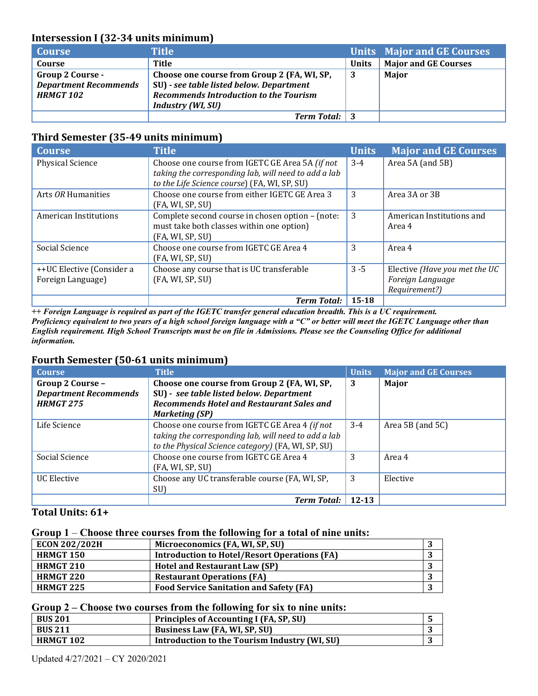## **Intersession I (32-34 units minimum)**

| <b>Course</b>                                                               | Title                                                                                                                                                                |              | <b>Units Major and GE Courses</b> |
|-----------------------------------------------------------------------------|----------------------------------------------------------------------------------------------------------------------------------------------------------------------|--------------|-----------------------------------|
| Course                                                                      | Title                                                                                                                                                                | <b>Units</b> | <b>Major and GE Courses</b>       |
| <b>Group 2 Course -</b><br><b>Department Recommends</b><br><b>HRMGT 102</b> | Choose one course from Group 2 (FA, WI, SP,<br>SU) - see table listed below. Department<br><b>Recommends Introduction to the Tourism</b><br><b>Industry (WI, SU)</b> | -3           | <b>Major</b>                      |
|                                                                             | <b>Term Total:</b> 3                                                                                                                                                 |              |                                   |

#### **Third Semester (35-49 units minimum)**

| <b>Course</b>             | <b>Title</b>                                                                                                      | <b>Units</b> | <b>Major and GE Courses</b>         |
|---------------------------|-------------------------------------------------------------------------------------------------------------------|--------------|-------------------------------------|
| <b>Physical Science</b>   | Choose one course from IGETC GE Area 5A (if not<br>taking the corresponding lab, will need to add a lab           | $3-4$        | Area 5A (and 5B)                    |
|                           | to the Life Science course) (FA, WI, SP, SU)                                                                      |              |                                     |
| Arts OR Humanities        | Choose one course from either IGETC GE Area 3<br>(FA, WI, SP, SU)                                                 | 3            | Area 3A or 3B                       |
| American Institutions     | Complete second course in chosen option - (note:<br>must take both classes within one option)<br>(FA, WI, SP, SU) | 3            | American Institutions and<br>Area 4 |
| Social Science            | Choose one course from IGETC GE Area 4<br>(FA, WI, SP, SU)                                                        | 3            | Area 4                              |
| ++UC Elective (Consider a | Choose any course that is UC transferable                                                                         | $3 - 5$      | Elective (Have you met the UC       |
| Foreign Language)         | (FA, WI, SP, SU)                                                                                                  |              | Foreign Language<br>Requirement?)   |
|                           | <b>Term Total:</b>                                                                                                | $15 - 18$    |                                     |

 *Proficiency equivalent to two years of a high school foreign language with a "C" or better will meet the IGETC Language other than ++ Foreign Language is required as part of the IGETC transfer general education breadth. This is a UC requirement. English requirement. High School Transcripts must be on file in Admissions. Please see the Counseling Office for additional information.* 

## **Fourth Semester (50-61 units minimum)**

| <b>Course</b>                | <b>Title</b>                                         | <b>Units</b> | <b>Major and GE Courses</b> |
|------------------------------|------------------------------------------------------|--------------|-----------------------------|
| Group 2 Course -             | Choose one course from Group 2 (FA, WI, SP,          | 3            | Major                       |
| <b>Department Recommends</b> | SU) - see table listed below. Department             |              |                             |
| <b>HRMGT 275</b>             | <b>Recommends Hotel and Restaurant Sales and</b>     |              |                             |
|                              | <b>Marketing (SP)</b>                                |              |                             |
| Life Science                 | Choose one course from IGETC GE Area 4 (if not       | $3-4$        | Area 5B (and $5C$ )         |
|                              | taking the corresponding lab, will need to add a lab |              |                             |
|                              | to the Physical Science category) (FA, WI, SP, SU)   |              |                             |
| Social Science               | Choose one course from IGETC GE Area 4               | 3            | Area 4                      |
|                              | (FA, WI, SP, SU)                                     |              |                             |
| <b>UC</b> Elective           | Choose any UC transferable course (FA, WI, SP,       | 3            | Elective                    |
|                              | SU)                                                  |              |                             |
|                              | <b>Term Total:</b>                                   | 12-13        |                             |

## **Total Units: 61+**

#### **Group 1** – **Choose three courses from the following for a total of nine units:**

| <b>ECON 202/202H</b> | Microeconomics (FA, WI, SP, SU)                     | J |
|----------------------|-----------------------------------------------------|---|
| <b>HRMGT 150</b>     | <b>Introduction to Hotel/Resort Operations (FA)</b> | ъ |
| <b>HRMGT 210</b>     | <b>Hotel and Restaurant Law (SP)</b>                | J |
| <b>HRMGT 220</b>     | <b>Restaurant Operations (FA)</b>                   |   |
| <b>HRMGT 225</b>     | <b>Food Service Sanitation and Safety (FA)</b>      |   |

#### **Group 2 – Choose two courses from the following for six to nine units:**

| <b>BUS 201</b> | Principles of Accounting I (FA, SP, SU)       |  |
|----------------|-----------------------------------------------|--|
| <b>BUS 211</b> | Business Law (FA, WI, SP, SU)                 |  |
| HRMGT 102      | Introduction to the Tourism Industry (WI, SU) |  |